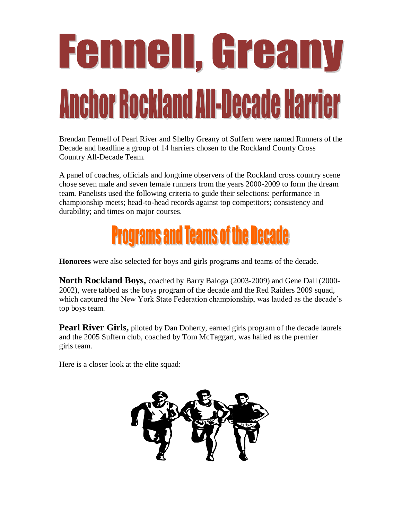# Fennell, Greany **Anchor Rockland All-Decade Harrier**

Brendan Fennell of Pearl River and Shelby Greany of Suffern were named Runners of the Decade and headline a group of 14 harriers chosen to the Rockland County Cross Country All-Decade Team.

A panel of coaches, officials and longtime observers of the Rockland cross country scene chose seven male and seven female runners from the years 2000-2009 to form the dream team. Panelists used the following criteria to guide their selections: performance in championship meets; head-to-head records against top competitors; consistency and durability; and times on major courses.



**Honorees** were also selected for boys and girls programs and teams of the decade.

**North Rockland Boys,** coached by Barry Baloga (2003-2009) and Gene Dall (2000- 2002), were tabbed as the boys program of the decade and the Red Raiders 2009 squad, which captured the New York State Federation championship, was lauded as the decade's top boys team.

**Pearl River Girls,** piloted by Dan Doherty, earned girls program of the decade laurels and the 2005 Suffern club, coached by Tom McTaggart, was hailed as the premier girls team.

Here is a closer look at the elite squad:

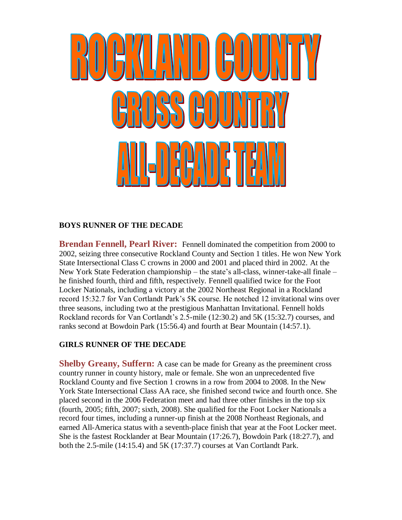

#### **BOYS RUNNER OF THE DECADE**

**Brendan Fennell, Pearl River:** Fennell dominated the competition from 2000 to 2002, seizing three consecutive Rockland County and Section 1 titles. He won New York State Intersectional Class C crowns in 2000 and 2001 and placed third in 2002. At the New York State Federation championship – the state's all-class, winner-take-all finale – he finished fourth, third and fifth, respectively. Fennell qualified twice for the Foot Locker Nationals, including a victory at the 2002 Northeast Regional in a Rockland record 15:32.7 for Van Cortlandt Park's 5K course. He notched 12 invitational wins over three seasons, including two at the prestigious Manhattan Invitational. Fennell holds Rockland records for Van Cortlandt's 2.5-mile (12:30.2) and 5K (15:32.7) courses, and ranks second at Bowdoin Park (15:56.4) and fourth at Bear Mountain (14:57.1).

#### **GIRLS RUNNER OF THE DECADE**

**Shelby Greany, Suffern:** A case can be made for Greany as the preeminent cross country runner in county history, male or female. She won an unprecedented five Rockland County and five Section 1 crowns in a row from 2004 to 2008. In the New York State Intersectional Class AA race, she finished second twice and fourth once. She placed second in the 2006 Federation meet and had three other finishes in the top six (fourth, 2005; fifth, 2007; sixth, 2008). She qualified for the Foot Locker Nationals a record four times, including a runner-up finish at the 2008 Northeast Regionals, and earned All-America status with a seventh-place finish that year at the Foot Locker meet. She is the fastest Rocklander at Bear Mountain (17:26.7), Bowdoin Park (18:27.7), and both the 2.5-mile (14:15.4) and 5K (17:37.7) courses at Van Cortlandt Park.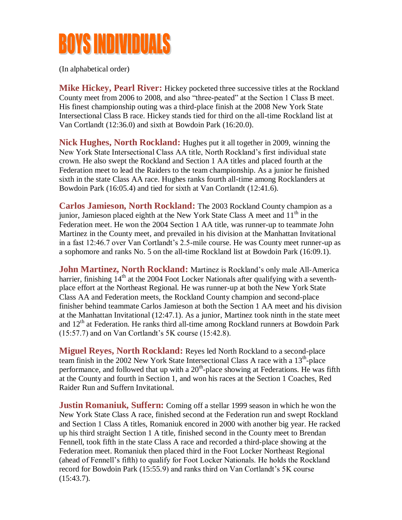#### **BOYS INDIVIDUALS**

(In alphabetical order)

**Mike Hickey, Pearl River:** Hickey pocketed three successive titles at the Rockland County meet from 2006 to 2008, and also "three-peated" at the Section 1 Class B meet. His finest championship outing was a third-place finish at the 2008 New York State Intersectional Class B race. Hickey stands tied for third on the all-time Rockland list at Van Cortlandt (12:36.0) and sixth at Bowdoin Park (16:20.0).

**Nick Hughes, North Rockland:** Hughes put it all together in 2009, winning the New York State Intersectional Class AA title, North Rockland's first individual state crown. He also swept the Rockland and Section 1 AA titles and placed fourth at the Federation meet to lead the Raiders to the team championship. As a junior he finished sixth in the state Class AA race. Hughes ranks fourth all-time among Rocklanders at Bowdoin Park (16:05.4) and tied for sixth at Van Cortlandt (12:41.6).

**Carlos Jamieson, North Rockland:** The 2003 Rockland County champion as a junior, Jamieson placed eighth at the New York State Class A meet and  $11<sup>th</sup>$  in the Federation meet. He won the 2004 Section 1 AA title, was runner-up to teammate John Martinez in the County meet, and prevailed in his division at the Manhattan Invitational in a fast 12:46.7 over Van Cortlandt's 2.5-mile course. He was County meet runner-up as a sophomore and ranks No. 5 on the all-time Rockland list at Bowdoin Park (16:09.1).

**John Martinez, North Rockland:** Martinez is Rockland's only male All-America harrier, finishing  $14<sup>th</sup>$  at the 2004 Foot Locker Nationals after qualifying with a seventhplace effort at the Northeast Regional. He was runner-up at both the New York State Class AA and Federation meets, the Rockland County champion and second-place finisher behind teammate Carlos Jamieson at both the Section 1 AA meet and his division at the Manhattan Invitational (12:47.1). As a junior, Martinez took ninth in the state meet and  $12<sup>th</sup>$  at Federation. He ranks third all-time among Rockland runners at Bowdoin Park (15:57.7) and on Van Cortlandt's 5K course (15:42.8).

**Miguel Reyes, North Rockland:** Reyes led North Rockland to a second-place team finish in the 2002 New York State Intersectional Class A race with a  $13<sup>th</sup>$ -place performance, and followed that up with a  $20<sup>th</sup>$ -place showing at Federations. He was fifth at the County and fourth in Section 1, and won his races at the Section 1 Coaches, Red Raider Run and Suffern Invitational.

**Justin Romaniuk, Suffern:** Coming off a stellar 1999 season in which he won the New York State Class A race, finished second at the Federation run and swept Rockland and Section 1 Class A titles, Romaniuk encored in 2000 with another big year. He racked up his third straight Section 1 A title, finished second in the County meet to Brendan Fennell, took fifth in the state Class A race and recorded a third-place showing at the Federation meet. Romaniuk then placed third in the Foot Locker Northeast Regional (ahead of Fennell's fifth) to qualify for Foot Locker Nationals. He holds the Rockland record for Bowdoin Park (15:55.9) and ranks third on Van Cortlandt's 5K course (15:43.7).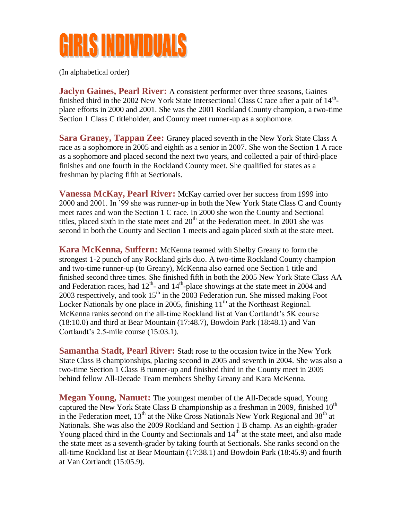### **GIRLS INDIVIDUALS**

(In alphabetical order)

**Jaclyn Gaines, Pearl River:** A consistent performer over three seasons, Gaines finished third in the 2002 New York State Intersectional Class C race after a pair of 14<sup>th</sup>place efforts in 2000 and 2001. She was the 2001 Rockland County champion, a two-time Section 1 Class C titleholder, and County meet runner-up as a sophomore.

**Sara Graney, Tappan Zee:** Graney placed seventh in the New York State Class A race as a sophomore in 2005 and eighth as a senior in 2007. She won the Section 1 A race as a sophomore and placed second the next two years, and collected a pair of third-place finishes and one fourth in the Rockland County meet. She qualified for states as a freshman by placing fifth at Sectionals.

**Vanessa McKay, Pearl River:** McKay carried over her success from 1999 into 2000 and 2001. In '99 she was runner-up in both the New York State Class C and County meet races and won the Section 1 C race. In 2000 she won the County and Sectional titles, placed sixth in the state meet and  $20<sup>th</sup>$  at the Federation meet. In 2001 she was second in both the County and Section 1 meets and again placed sixth at the state meet.

**Kara McKenna, Suffern:** McKenna teamed with Shelby Greany to form the strongest 1-2 punch of any Rockland girls duo. A two-time Rockland County champion and two-time runner-up (to Greany), McKenna also earned one Section 1 title and finished second three times. She finished fifth in both the 2005 New York State Class AA and Federation races, had  $12<sup>th</sup>$  and  $14<sup>th</sup>$ -place showings at the state meet in 2004 and 2003 respectively, and took  $15<sup>th</sup>$  in the 2003 Federation run. She missed making Foot Locker Nationals by one place in 2005, finishing  $11<sup>th</sup>$  at the Northeast Regional. McKenna ranks second on the all-time Rockland list at Van Cortlandt's 5K course (18:10.0) and third at Bear Mountain (17:48.7), Bowdoin Park (18:48.1) and Van Cortlandt's 2.5-mile course (15:03.1).

**Samantha Stadt, Pearl River:** Stadt rose to the occasion twice in the New York State Class B championships, placing second in 2005 and seventh in 2004. She was also a two-time Section 1 Class B runner-up and finished third in the County meet in 2005 behind fellow All-Decade Team members Shelby Greany and Kara McKenna.

**Megan Young, Nanuet:** The youngest member of the All-Decade squad, Young captured the New York State Class B championship as a freshman in 2009, finished  $10<sup>th</sup>$ in the Federation meet,  $13<sup>th</sup>$  at the Nike Cross Nationals New York Regional and  $38<sup>th</sup>$  at Nationals. She was also the 2009 Rockland and Section 1 B champ. As an eighth-grader Young placed third in the County and Sectionals and  $14<sup>th</sup>$  at the state meet, and also made the state meet as a seventh-grader by taking fourth at Sectionals. She ranks second on the all-time Rockland list at Bear Mountain (17:38.1) and Bowdoin Park (18:45.9) and fourth at Van Cortlandt (15:05.9).